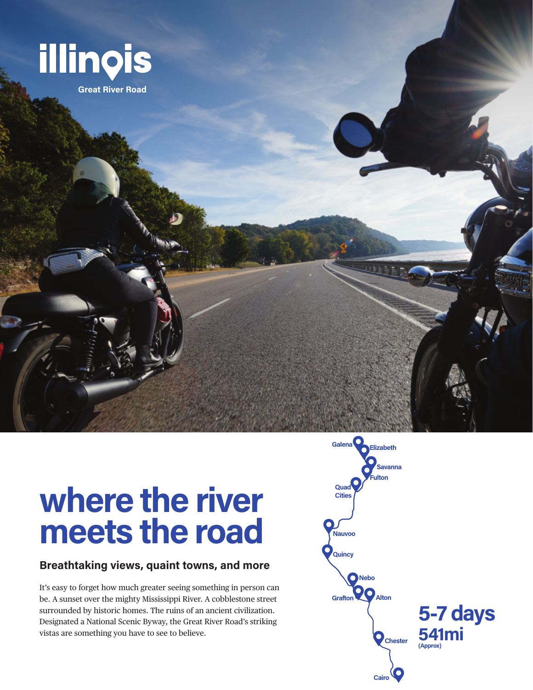

# **where the river meets the road**

#### **Breathtaking views, quaint towns, and more**

It's easy to forget how much greater seeing something in person can be. A sunset over the mighty Mississippi River. A cobblestone street surrounded by historic homes. The ruins of an ancient civilization. Designated a National Scenic Byway, the Great River Road's striking vistas are something you have to see to believe.